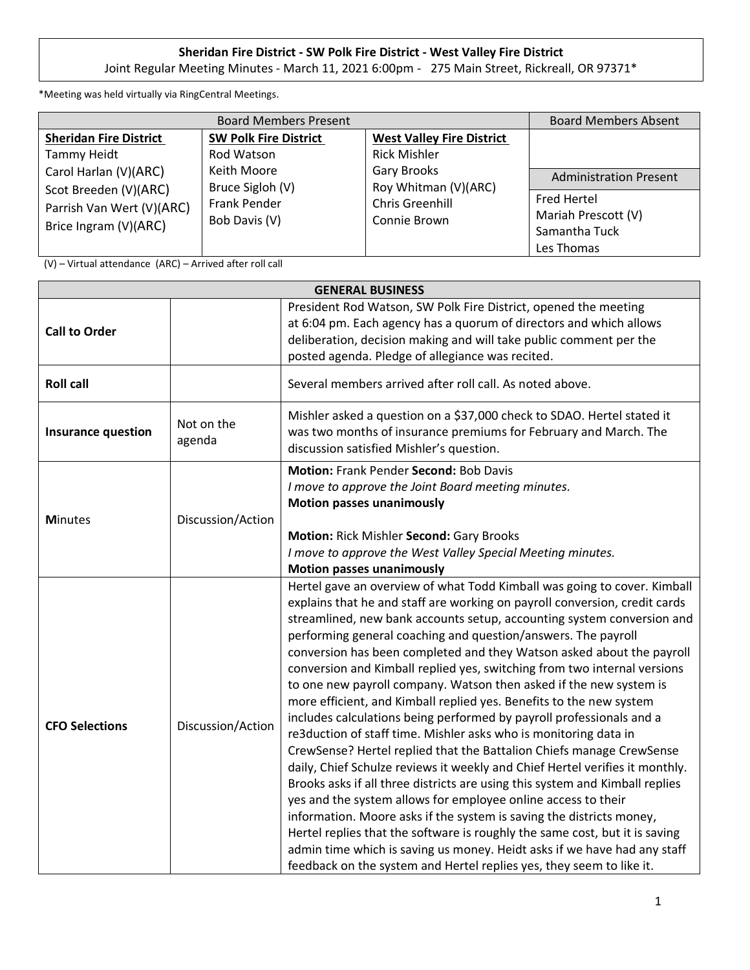## **Sheridan Fire District - SW Polk Fire District - West Valley Fire District**

Joint Regular Meeting Minutes - March 11, 2021 6:00pm - 275 Main Street, Rickreall, OR 97371\*

\*Meeting was held virtually via RingCentral Meetings.

| <b>Board Members Present</b>                       |                                                                         |                                                                               | <b>Board Members Absent</b>               |
|----------------------------------------------------|-------------------------------------------------------------------------|-------------------------------------------------------------------------------|-------------------------------------------|
| <b>Sheridan Fire District</b>                      | <b>SW Polk Fire District</b>                                            | <b>West Valley Fire District</b>                                              |                                           |
| Tammy Heidt                                        | Rod Watson                                                              | <b>Rick Mishler</b>                                                           |                                           |
| Carol Harlan (V)(ARC)                              | Keith Moore<br>Bruce Sigloh (V)<br><b>Frank Pender</b><br>Bob Davis (V) | <b>Gary Brooks</b><br>Roy Whitman (V)(ARC)<br>Chris Greenhill<br>Connie Brown | <b>Administration Present</b>             |
| Scot Breeden (V)(ARC)<br>Parrish Van Wert (V)(ARC) |                                                                         |                                                                               | <b>Fred Hertel</b><br>Mariah Prescott (V) |
| Brice Ingram (V)(ARC)                              |                                                                         | Samantha Tuck<br>Les Thomas                                                   |                                           |

(V) – Virtual attendance (ARC) – Arrived after roll call

| <b>GENERAL BUSINESS</b>   |                      |                                                                                                                                                                                                                                                                                                                                                                                                                                                                                                                                                                                                                                                                                                                                                                                                                                                                                                                                                                                                                                                                                                                                                                                                                                                                                                                                                                     |
|---------------------------|----------------------|---------------------------------------------------------------------------------------------------------------------------------------------------------------------------------------------------------------------------------------------------------------------------------------------------------------------------------------------------------------------------------------------------------------------------------------------------------------------------------------------------------------------------------------------------------------------------------------------------------------------------------------------------------------------------------------------------------------------------------------------------------------------------------------------------------------------------------------------------------------------------------------------------------------------------------------------------------------------------------------------------------------------------------------------------------------------------------------------------------------------------------------------------------------------------------------------------------------------------------------------------------------------------------------------------------------------------------------------------------------------|
| <b>Call to Order</b>      |                      | President Rod Watson, SW Polk Fire District, opened the meeting<br>at 6:04 pm. Each agency has a quorum of directors and which allows<br>deliberation, decision making and will take public comment per the<br>posted agenda. Pledge of allegiance was recited.                                                                                                                                                                                                                                                                                                                                                                                                                                                                                                                                                                                                                                                                                                                                                                                                                                                                                                                                                                                                                                                                                                     |
| <b>Roll call</b>          |                      | Several members arrived after roll call. As noted above.                                                                                                                                                                                                                                                                                                                                                                                                                                                                                                                                                                                                                                                                                                                                                                                                                                                                                                                                                                                                                                                                                                                                                                                                                                                                                                            |
| <b>Insurance question</b> | Not on the<br>agenda | Mishler asked a question on a \$37,000 check to SDAO. Hertel stated it<br>was two months of insurance premiums for February and March. The<br>discussion satisfied Mishler's question.                                                                                                                                                                                                                                                                                                                                                                                                                                                                                                                                                                                                                                                                                                                                                                                                                                                                                                                                                                                                                                                                                                                                                                              |
| <b>Minutes</b>            | Discussion/Action    | Motion: Frank Pender Second: Bob Davis<br>I move to approve the Joint Board meeting minutes.<br><b>Motion passes unanimously</b><br>Motion: Rick Mishler Second: Gary Brooks<br>I move to approve the West Valley Special Meeting minutes.<br><b>Motion passes unanimously</b>                                                                                                                                                                                                                                                                                                                                                                                                                                                                                                                                                                                                                                                                                                                                                                                                                                                                                                                                                                                                                                                                                      |
| <b>CFO Selections</b>     | Discussion/Action    | Hertel gave an overview of what Todd Kimball was going to cover. Kimball<br>explains that he and staff are working on payroll conversion, credit cards<br>streamlined, new bank accounts setup, accounting system conversion and<br>performing general coaching and question/answers. The payroll<br>conversion has been completed and they Watson asked about the payroll<br>conversion and Kimball replied yes, switching from two internal versions<br>to one new payroll company. Watson then asked if the new system is<br>more efficient, and Kimball replied yes. Benefits to the new system<br>includes calculations being performed by payroll professionals and a<br>re3duction of staff time. Mishler asks who is monitoring data in<br>CrewSense? Hertel replied that the Battalion Chiefs manage CrewSense<br>daily, Chief Schulze reviews it weekly and Chief Hertel verifies it monthly.<br>Brooks asks if all three districts are using this system and Kimball replies<br>yes and the system allows for employee online access to their<br>information. Moore asks if the system is saving the districts money,<br>Hertel replies that the software is roughly the same cost, but it is saving<br>admin time which is saving us money. Heidt asks if we have had any staff<br>feedback on the system and Hertel replies yes, they seem to like it. |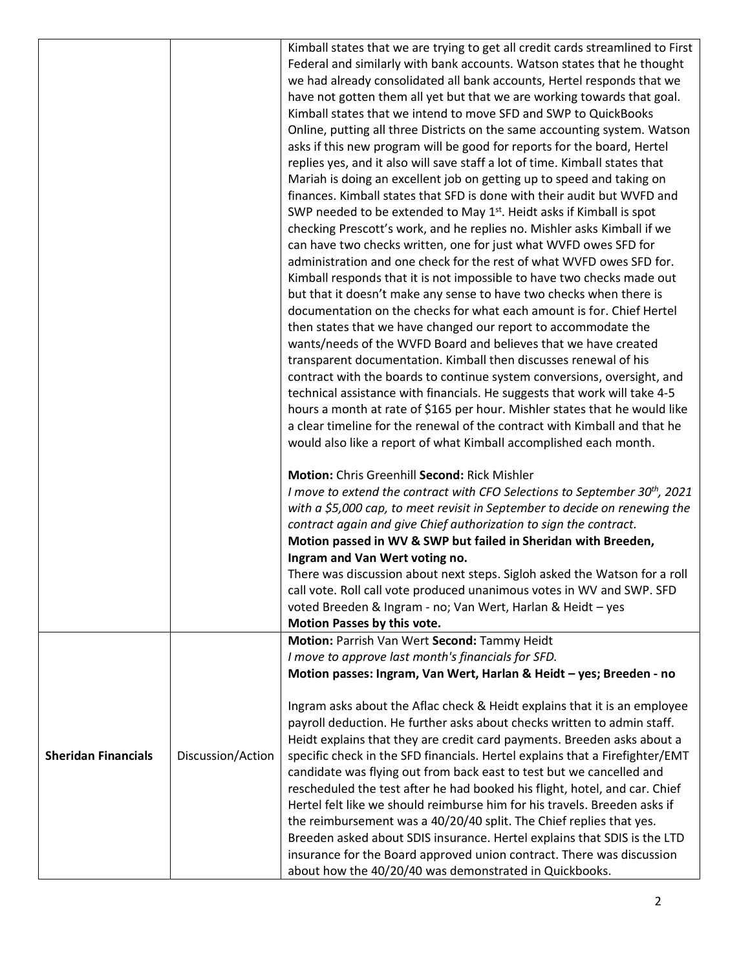| Kimball states that we are trying to get all credit cards streamlined to First<br>Federal and similarly with bank accounts. Watson states that he thought<br>we had already consolidated all bank accounts, Hertel responds that we<br>have not gotten them all yet but that we are working towards that goal.<br>Kimball states that we intend to move SFD and SWP to QuickBooks<br>Online, putting all three Districts on the same accounting system. Watson<br>asks if this new program will be good for reports for the board, Hertel<br>replies yes, and it also will save staff a lot of time. Kimball states that<br>Mariah is doing an excellent job on getting up to speed and taking on<br>finances. Kimball states that SFD is done with their audit but WVFD and<br>SWP needed to be extended to May 1 <sup>st</sup> . Heidt asks if Kimball is spot<br>checking Prescott's work, and he replies no. Mishler asks Kimball if we<br>can have two checks written, one for just what WVFD owes SFD for<br>administration and one check for the rest of what WVFD owes SFD for.<br>Kimball responds that it is not impossible to have two checks made out<br>but that it doesn't make any sense to have two checks when there is<br>documentation on the checks for what each amount is for. Chief Hertel<br>then states that we have changed our report to accommodate the<br>wants/needs of the WVFD Board and believes that we have created<br>transparent documentation. Kimball then discusses renewal of his |
|----------------------------------------------------------------------------------------------------------------------------------------------------------------------------------------------------------------------------------------------------------------------------------------------------------------------------------------------------------------------------------------------------------------------------------------------------------------------------------------------------------------------------------------------------------------------------------------------------------------------------------------------------------------------------------------------------------------------------------------------------------------------------------------------------------------------------------------------------------------------------------------------------------------------------------------------------------------------------------------------------------------------------------------------------------------------------------------------------------------------------------------------------------------------------------------------------------------------------------------------------------------------------------------------------------------------------------------------------------------------------------------------------------------------------------------------------------------------------------------------------------------------------|
|                                                                                                                                                                                                                                                                                                                                                                                                                                                                                                                                                                                                                                                                                                                                                                                                                                                                                                                                                                                                                                                                                                                                                                                                                                                                                                                                                                                                                                                                                                                            |
|                                                                                                                                                                                                                                                                                                                                                                                                                                                                                                                                                                                                                                                                                                                                                                                                                                                                                                                                                                                                                                                                                                                                                                                                                                                                                                                                                                                                                                                                                                                            |
|                                                                                                                                                                                                                                                                                                                                                                                                                                                                                                                                                                                                                                                                                                                                                                                                                                                                                                                                                                                                                                                                                                                                                                                                                                                                                                                                                                                                                                                                                                                            |
|                                                                                                                                                                                                                                                                                                                                                                                                                                                                                                                                                                                                                                                                                                                                                                                                                                                                                                                                                                                                                                                                                                                                                                                                                                                                                                                                                                                                                                                                                                                            |
|                                                                                                                                                                                                                                                                                                                                                                                                                                                                                                                                                                                                                                                                                                                                                                                                                                                                                                                                                                                                                                                                                                                                                                                                                                                                                                                                                                                                                                                                                                                            |
|                                                                                                                                                                                                                                                                                                                                                                                                                                                                                                                                                                                                                                                                                                                                                                                                                                                                                                                                                                                                                                                                                                                                                                                                                                                                                                                                                                                                                                                                                                                            |
|                                                                                                                                                                                                                                                                                                                                                                                                                                                                                                                                                                                                                                                                                                                                                                                                                                                                                                                                                                                                                                                                                                                                                                                                                                                                                                                                                                                                                                                                                                                            |
|                                                                                                                                                                                                                                                                                                                                                                                                                                                                                                                                                                                                                                                                                                                                                                                                                                                                                                                                                                                                                                                                                                                                                                                                                                                                                                                                                                                                                                                                                                                            |
|                                                                                                                                                                                                                                                                                                                                                                                                                                                                                                                                                                                                                                                                                                                                                                                                                                                                                                                                                                                                                                                                                                                                                                                                                                                                                                                                                                                                                                                                                                                            |
|                                                                                                                                                                                                                                                                                                                                                                                                                                                                                                                                                                                                                                                                                                                                                                                                                                                                                                                                                                                                                                                                                                                                                                                                                                                                                                                                                                                                                                                                                                                            |
|                                                                                                                                                                                                                                                                                                                                                                                                                                                                                                                                                                                                                                                                                                                                                                                                                                                                                                                                                                                                                                                                                                                                                                                                                                                                                                                                                                                                                                                                                                                            |
|                                                                                                                                                                                                                                                                                                                                                                                                                                                                                                                                                                                                                                                                                                                                                                                                                                                                                                                                                                                                                                                                                                                                                                                                                                                                                                                                                                                                                                                                                                                            |
|                                                                                                                                                                                                                                                                                                                                                                                                                                                                                                                                                                                                                                                                                                                                                                                                                                                                                                                                                                                                                                                                                                                                                                                                                                                                                                                                                                                                                                                                                                                            |
|                                                                                                                                                                                                                                                                                                                                                                                                                                                                                                                                                                                                                                                                                                                                                                                                                                                                                                                                                                                                                                                                                                                                                                                                                                                                                                                                                                                                                                                                                                                            |
|                                                                                                                                                                                                                                                                                                                                                                                                                                                                                                                                                                                                                                                                                                                                                                                                                                                                                                                                                                                                                                                                                                                                                                                                                                                                                                                                                                                                                                                                                                                            |
|                                                                                                                                                                                                                                                                                                                                                                                                                                                                                                                                                                                                                                                                                                                                                                                                                                                                                                                                                                                                                                                                                                                                                                                                                                                                                                                                                                                                                                                                                                                            |
|                                                                                                                                                                                                                                                                                                                                                                                                                                                                                                                                                                                                                                                                                                                                                                                                                                                                                                                                                                                                                                                                                                                                                                                                                                                                                                                                                                                                                                                                                                                            |
|                                                                                                                                                                                                                                                                                                                                                                                                                                                                                                                                                                                                                                                                                                                                                                                                                                                                                                                                                                                                                                                                                                                                                                                                                                                                                                                                                                                                                                                                                                                            |
|                                                                                                                                                                                                                                                                                                                                                                                                                                                                                                                                                                                                                                                                                                                                                                                                                                                                                                                                                                                                                                                                                                                                                                                                                                                                                                                                                                                                                                                                                                                            |
| contract with the boards to continue system conversions, oversight, and                                                                                                                                                                                                                                                                                                                                                                                                                                                                                                                                                                                                                                                                                                                                                                                                                                                                                                                                                                                                                                                                                                                                                                                                                                                                                                                                                                                                                                                    |
| technical assistance with financials. He suggests that work will take 4-5                                                                                                                                                                                                                                                                                                                                                                                                                                                                                                                                                                                                                                                                                                                                                                                                                                                                                                                                                                                                                                                                                                                                                                                                                                                                                                                                                                                                                                                  |
| hours a month at rate of \$165 per hour. Mishler states that he would like                                                                                                                                                                                                                                                                                                                                                                                                                                                                                                                                                                                                                                                                                                                                                                                                                                                                                                                                                                                                                                                                                                                                                                                                                                                                                                                                                                                                                                                 |
| a clear timeline for the renewal of the contract with Kimball and that he                                                                                                                                                                                                                                                                                                                                                                                                                                                                                                                                                                                                                                                                                                                                                                                                                                                                                                                                                                                                                                                                                                                                                                                                                                                                                                                                                                                                                                                  |
| would also like a report of what Kimball accomplished each month.                                                                                                                                                                                                                                                                                                                                                                                                                                                                                                                                                                                                                                                                                                                                                                                                                                                                                                                                                                                                                                                                                                                                                                                                                                                                                                                                                                                                                                                          |
|                                                                                                                                                                                                                                                                                                                                                                                                                                                                                                                                                                                                                                                                                                                                                                                                                                                                                                                                                                                                                                                                                                                                                                                                                                                                                                                                                                                                                                                                                                                            |
| Motion: Chris Greenhill Second: Rick Mishler                                                                                                                                                                                                                                                                                                                                                                                                                                                                                                                                                                                                                                                                                                                                                                                                                                                                                                                                                                                                                                                                                                                                                                                                                                                                                                                                                                                                                                                                               |
| I move to extend the contract with CFO Selections to September 30 <sup>th</sup> , 2021                                                                                                                                                                                                                                                                                                                                                                                                                                                                                                                                                                                                                                                                                                                                                                                                                                                                                                                                                                                                                                                                                                                                                                                                                                                                                                                                                                                                                                     |
| with a \$5,000 cap, to meet revisit in September to decide on renewing the<br>contract again and give Chief authorization to sign the contract.                                                                                                                                                                                                                                                                                                                                                                                                                                                                                                                                                                                                                                                                                                                                                                                                                                                                                                                                                                                                                                                                                                                                                                                                                                                                                                                                                                            |
| Motion passed in WV & SWP but failed in Sheridan with Breeden,                                                                                                                                                                                                                                                                                                                                                                                                                                                                                                                                                                                                                                                                                                                                                                                                                                                                                                                                                                                                                                                                                                                                                                                                                                                                                                                                                                                                                                                             |
| Ingram and Van Wert voting no.                                                                                                                                                                                                                                                                                                                                                                                                                                                                                                                                                                                                                                                                                                                                                                                                                                                                                                                                                                                                                                                                                                                                                                                                                                                                                                                                                                                                                                                                                             |
| There was discussion about next steps. Sigloh asked the Watson for a roll                                                                                                                                                                                                                                                                                                                                                                                                                                                                                                                                                                                                                                                                                                                                                                                                                                                                                                                                                                                                                                                                                                                                                                                                                                                                                                                                                                                                                                                  |
| call vote. Roll call vote produced unanimous votes in WV and SWP. SFD                                                                                                                                                                                                                                                                                                                                                                                                                                                                                                                                                                                                                                                                                                                                                                                                                                                                                                                                                                                                                                                                                                                                                                                                                                                                                                                                                                                                                                                      |
| voted Breeden & Ingram - no; Van Wert, Harlan & Heidt - yes                                                                                                                                                                                                                                                                                                                                                                                                                                                                                                                                                                                                                                                                                                                                                                                                                                                                                                                                                                                                                                                                                                                                                                                                                                                                                                                                                                                                                                                                |
| Motion Passes by this vote.                                                                                                                                                                                                                                                                                                                                                                                                                                                                                                                                                                                                                                                                                                                                                                                                                                                                                                                                                                                                                                                                                                                                                                                                                                                                                                                                                                                                                                                                                                |
| Motion: Parrish Van Wert Second: Tammy Heidt                                                                                                                                                                                                                                                                                                                                                                                                                                                                                                                                                                                                                                                                                                                                                                                                                                                                                                                                                                                                                                                                                                                                                                                                                                                                                                                                                                                                                                                                               |
| I move to approve last month's financials for SFD.                                                                                                                                                                                                                                                                                                                                                                                                                                                                                                                                                                                                                                                                                                                                                                                                                                                                                                                                                                                                                                                                                                                                                                                                                                                                                                                                                                                                                                                                         |
|                                                                                                                                                                                                                                                                                                                                                                                                                                                                                                                                                                                                                                                                                                                                                                                                                                                                                                                                                                                                                                                                                                                                                                                                                                                                                                                                                                                                                                                                                                                            |
| Motion passes: Ingram, Van Wert, Harlan & Heidt - yes; Breeden - no                                                                                                                                                                                                                                                                                                                                                                                                                                                                                                                                                                                                                                                                                                                                                                                                                                                                                                                                                                                                                                                                                                                                                                                                                                                                                                                                                                                                                                                        |
|                                                                                                                                                                                                                                                                                                                                                                                                                                                                                                                                                                                                                                                                                                                                                                                                                                                                                                                                                                                                                                                                                                                                                                                                                                                                                                                                                                                                                                                                                                                            |
| Ingram asks about the Aflac check & Heidt explains that it is an employee                                                                                                                                                                                                                                                                                                                                                                                                                                                                                                                                                                                                                                                                                                                                                                                                                                                                                                                                                                                                                                                                                                                                                                                                                                                                                                                                                                                                                                                  |
| payroll deduction. He further asks about checks written to admin staff.                                                                                                                                                                                                                                                                                                                                                                                                                                                                                                                                                                                                                                                                                                                                                                                                                                                                                                                                                                                                                                                                                                                                                                                                                                                                                                                                                                                                                                                    |
| Heidt explains that they are credit card payments. Breeden asks about a                                                                                                                                                                                                                                                                                                                                                                                                                                                                                                                                                                                                                                                                                                                                                                                                                                                                                                                                                                                                                                                                                                                                                                                                                                                                                                                                                                                                                                                    |
| <b>Sheridan Financials</b><br>Discussion/Action<br>specific check in the SFD financials. Hertel explains that a Firefighter/EMT                                                                                                                                                                                                                                                                                                                                                                                                                                                                                                                                                                                                                                                                                                                                                                                                                                                                                                                                                                                                                                                                                                                                                                                                                                                                                                                                                                                            |
| candidate was flying out from back east to test but we cancelled and                                                                                                                                                                                                                                                                                                                                                                                                                                                                                                                                                                                                                                                                                                                                                                                                                                                                                                                                                                                                                                                                                                                                                                                                                                                                                                                                                                                                                                                       |
| rescheduled the test after he had booked his flight, hotel, and car. Chief                                                                                                                                                                                                                                                                                                                                                                                                                                                                                                                                                                                                                                                                                                                                                                                                                                                                                                                                                                                                                                                                                                                                                                                                                                                                                                                                                                                                                                                 |
| Hertel felt like we should reimburse him for his travels. Breeden asks if                                                                                                                                                                                                                                                                                                                                                                                                                                                                                                                                                                                                                                                                                                                                                                                                                                                                                                                                                                                                                                                                                                                                                                                                                                                                                                                                                                                                                                                  |
| the reimbursement was a 40/20/40 split. The Chief replies that yes.                                                                                                                                                                                                                                                                                                                                                                                                                                                                                                                                                                                                                                                                                                                                                                                                                                                                                                                                                                                                                                                                                                                                                                                                                                                                                                                                                                                                                                                        |
| Breeden asked about SDIS insurance. Hertel explains that SDIS is the LTD<br>insurance for the Board approved union contract. There was discussion                                                                                                                                                                                                                                                                                                                                                                                                                                                                                                                                                                                                                                                                                                                                                                                                                                                                                                                                                                                                                                                                                                                                                                                                                                                                                                                                                                          |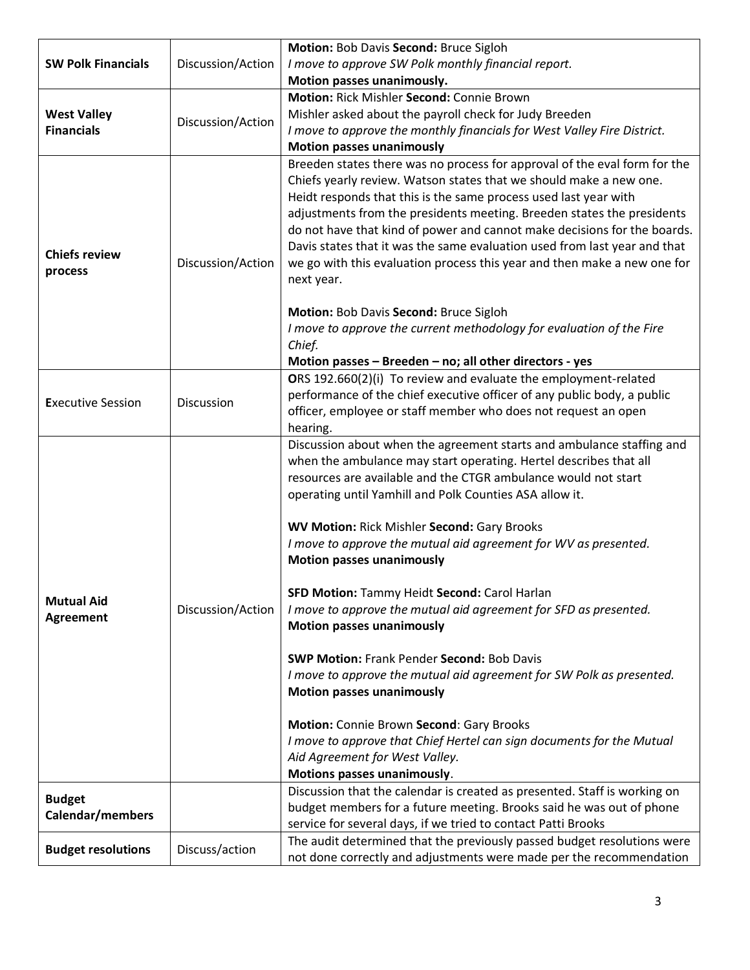|                                         |                   | Motion: Bob Davis Second: Bruce Sigloh                                                                                                                                                                                                                                                                                                                                                                                                                                                                                                           |
|-----------------------------------------|-------------------|--------------------------------------------------------------------------------------------------------------------------------------------------------------------------------------------------------------------------------------------------------------------------------------------------------------------------------------------------------------------------------------------------------------------------------------------------------------------------------------------------------------------------------------------------|
| <b>SW Polk Financials</b>               | Discussion/Action | I move to approve SW Polk monthly financial report.                                                                                                                                                                                                                                                                                                                                                                                                                                                                                              |
|                                         |                   | Motion passes unanimously.                                                                                                                                                                                                                                                                                                                                                                                                                                                                                                                       |
|                                         |                   | Motion: Rick Mishler Second: Connie Brown                                                                                                                                                                                                                                                                                                                                                                                                                                                                                                        |
| <b>West Valley</b><br><b>Financials</b> |                   | Mishler asked about the payroll check for Judy Breeden                                                                                                                                                                                                                                                                                                                                                                                                                                                                                           |
|                                         | Discussion/Action |                                                                                                                                                                                                                                                                                                                                                                                                                                                                                                                                                  |
|                                         |                   | I move to approve the monthly financials for West Valley Fire District.                                                                                                                                                                                                                                                                                                                                                                                                                                                                          |
|                                         |                   | <b>Motion passes unanimously</b>                                                                                                                                                                                                                                                                                                                                                                                                                                                                                                                 |
| <b>Chiefs review</b><br>process         | Discussion/Action | Breeden states there was no process for approval of the eval form for the<br>Chiefs yearly review. Watson states that we should make a new one.<br>Heidt responds that this is the same process used last year with<br>adjustments from the presidents meeting. Breeden states the presidents<br>do not have that kind of power and cannot make decisions for the boards.<br>Davis states that it was the same evaluation used from last year and that<br>we go with this evaluation process this year and then make a new one for<br>next year. |
|                                         |                   | Motion: Bob Davis Second: Bruce Sigloh                                                                                                                                                                                                                                                                                                                                                                                                                                                                                                           |
|                                         |                   | I move to approve the current methodology for evaluation of the Fire                                                                                                                                                                                                                                                                                                                                                                                                                                                                             |
|                                         |                   | Chief.                                                                                                                                                                                                                                                                                                                                                                                                                                                                                                                                           |
|                                         |                   | Motion passes - Breeden - no; all other directors - yes                                                                                                                                                                                                                                                                                                                                                                                                                                                                                          |
| <b>Executive Session</b>                |                   | ORS 192.660(2)(i) To review and evaluate the employment-related                                                                                                                                                                                                                                                                                                                                                                                                                                                                                  |
|                                         | Discussion        | performance of the chief executive officer of any public body, a public                                                                                                                                                                                                                                                                                                                                                                                                                                                                          |
|                                         |                   | officer, employee or staff member who does not request an open                                                                                                                                                                                                                                                                                                                                                                                                                                                                                   |
|                                         |                   | hearing.                                                                                                                                                                                                                                                                                                                                                                                                                                                                                                                                         |
|                                         |                   | Discussion about when the agreement starts and ambulance staffing and<br>when the ambulance may start operating. Hertel describes that all<br>resources are available and the CTGR ambulance would not start<br>operating until Yamhill and Polk Counties ASA allow it.                                                                                                                                                                                                                                                                          |
|                                         |                   |                                                                                                                                                                                                                                                                                                                                                                                                                                                                                                                                                  |
|                                         | Discussion/Action | <b>WV Motion: Rick Mishler Second: Gary Brooks</b>                                                                                                                                                                                                                                                                                                                                                                                                                                                                                               |
| <b>Mutual Aid</b><br><b>Agreement</b>   |                   | I move to approve the mutual aid agreement for WV as presented.<br><b>Motion passes unanimously</b>                                                                                                                                                                                                                                                                                                                                                                                                                                              |
|                                         |                   | SFD Motion: Tammy Heidt Second: Carol Harlan                                                                                                                                                                                                                                                                                                                                                                                                                                                                                                     |
|                                         |                   | I move to approve the mutual aid agreement for SFD as presented.<br><b>Motion passes unanimously</b>                                                                                                                                                                                                                                                                                                                                                                                                                                             |
|                                         |                   | <b>SWP Motion: Frank Pender Second: Bob Davis</b>                                                                                                                                                                                                                                                                                                                                                                                                                                                                                                |
|                                         |                   | I move to approve the mutual aid agreement for SW Polk as presented.<br><b>Motion passes unanimously</b>                                                                                                                                                                                                                                                                                                                                                                                                                                         |
|                                         |                   | Motion: Connie Brown Second: Gary Brooks                                                                                                                                                                                                                                                                                                                                                                                                                                                                                                         |
|                                         |                   | I move to approve that Chief Hertel can sign documents for the Mutual                                                                                                                                                                                                                                                                                                                                                                                                                                                                            |
|                                         |                   | Aid Agreement for West Valley.                                                                                                                                                                                                                                                                                                                                                                                                                                                                                                                   |
|                                         |                   | Motions passes unanimously.                                                                                                                                                                                                                                                                                                                                                                                                                                                                                                                      |
| <b>Budget</b><br>Calendar/members       |                   | Discussion that the calendar is created as presented. Staff is working on                                                                                                                                                                                                                                                                                                                                                                                                                                                                        |
|                                         |                   | budget members for a future meeting. Brooks said he was out of phone                                                                                                                                                                                                                                                                                                                                                                                                                                                                             |
|                                         |                   | service for several days, if we tried to contact Patti Brooks                                                                                                                                                                                                                                                                                                                                                                                                                                                                                    |
| <b>Budget resolutions</b>               | Discuss/action    | The audit determined that the previously passed budget resolutions were                                                                                                                                                                                                                                                                                                                                                                                                                                                                          |
|                                         |                   | not done correctly and adjustments were made per the recommendation                                                                                                                                                                                                                                                                                                                                                                                                                                                                              |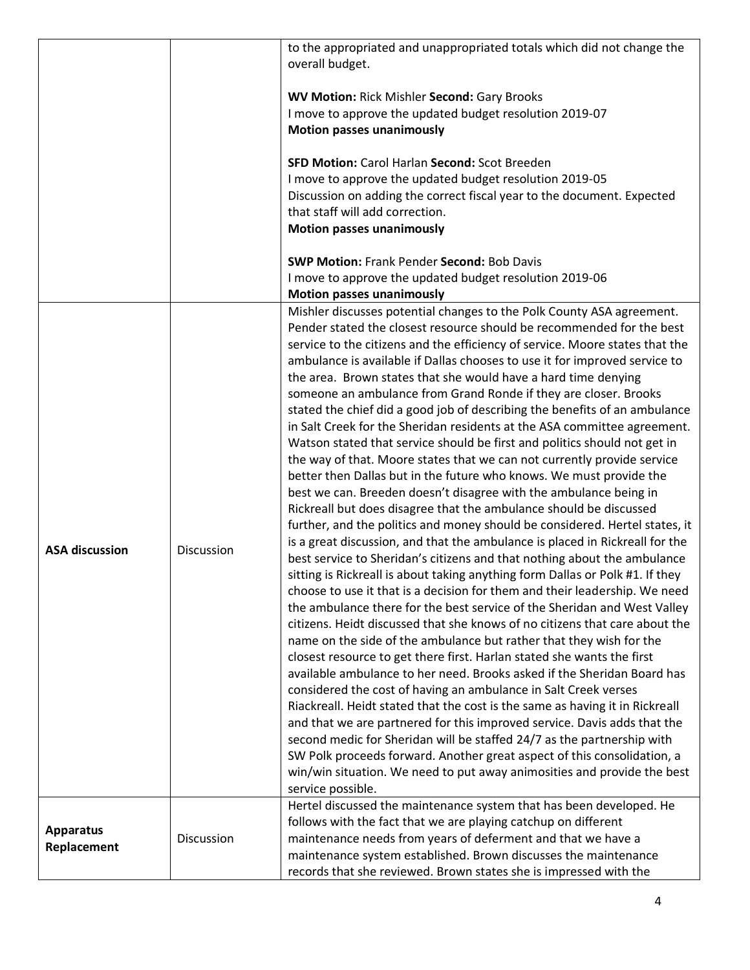|                                 |            | to the appropriated and unappropriated totals which did not change the<br>overall budget.<br><b>WV Motion: Rick Mishler Second: Gary Brooks</b><br>I move to approve the updated budget resolution 2019-07<br><b>Motion passes unanimously</b><br>SFD Motion: Carol Harlan Second: Scot Breeden<br>I move to approve the updated budget resolution 2019-05<br>Discussion on adding the correct fiscal year to the document. Expected<br>that staff will add correction.<br><b>Motion passes unanimously</b><br><b>SWP Motion: Frank Pender Second: Bob Davis</b><br>I move to approve the updated budget resolution 2019-06                                                                                                                                                                                                                                                                                                                                                                                                                                                                                                                                                                                                                                                                                                                                                                                                                                                                                                                                                                                                                                                                                                                                                                                                                                                                                                                                 |
|---------------------------------|------------|-------------------------------------------------------------------------------------------------------------------------------------------------------------------------------------------------------------------------------------------------------------------------------------------------------------------------------------------------------------------------------------------------------------------------------------------------------------------------------------------------------------------------------------------------------------------------------------------------------------------------------------------------------------------------------------------------------------------------------------------------------------------------------------------------------------------------------------------------------------------------------------------------------------------------------------------------------------------------------------------------------------------------------------------------------------------------------------------------------------------------------------------------------------------------------------------------------------------------------------------------------------------------------------------------------------------------------------------------------------------------------------------------------------------------------------------------------------------------------------------------------------------------------------------------------------------------------------------------------------------------------------------------------------------------------------------------------------------------------------------------------------------------------------------------------------------------------------------------------------------------------------------------------------------------------------------------------------|
|                                 |            | <b>Motion passes unanimously</b><br>Mishler discusses potential changes to the Polk County ASA agreement.<br>Pender stated the closest resource should be recommended for the best<br>service to the citizens and the efficiency of service. Moore states that the<br>ambulance is available if Dallas chooses to use it for improved service to                                                                                                                                                                                                                                                                                                                                                                                                                                                                                                                                                                                                                                                                                                                                                                                                                                                                                                                                                                                                                                                                                                                                                                                                                                                                                                                                                                                                                                                                                                                                                                                                            |
| <b>ASA discussion</b>           | Discussion | the area. Brown states that she would have a hard time denying<br>someone an ambulance from Grand Ronde if they are closer. Brooks<br>stated the chief did a good job of describing the benefits of an ambulance<br>in Salt Creek for the Sheridan residents at the ASA committee agreement.<br>Watson stated that service should be first and politics should not get in<br>the way of that. Moore states that we can not currently provide service<br>better then Dallas but in the future who knows. We must provide the<br>best we can. Breeden doesn't disagree with the ambulance being in<br>Rickreall but does disagree that the ambulance should be discussed<br>further, and the politics and money should be considered. Hertel states, it<br>is a great discussion, and that the ambulance is placed in Rickreall for the<br>best service to Sheridan's citizens and that nothing about the ambulance<br>sitting is Rickreall is about taking anything form Dallas or Polk #1. If they<br>choose to use it that is a decision for them and their leadership. We need<br>the ambulance there for the best service of the Sheridan and West Valley<br>citizens. Heidt discussed that she knows of no citizens that care about the<br>name on the side of the ambulance but rather that they wish for the<br>closest resource to get there first. Harlan stated she wants the first<br>available ambulance to her need. Brooks asked if the Sheridan Board has<br>considered the cost of having an ambulance in Salt Creek verses<br>Riackreall. Heidt stated that the cost is the same as having it in Rickreall<br>and that we are partnered for this improved service. Davis adds that the<br>second medic for Sheridan will be staffed 24/7 as the partnership with<br>SW Polk proceeds forward. Another great aspect of this consolidation, a<br>win/win situation. We need to put away animosities and provide the best<br>service possible. |
| <b>Apparatus</b><br>Replacement | Discussion | Hertel discussed the maintenance system that has been developed. He<br>follows with the fact that we are playing catchup on different<br>maintenance needs from years of deferment and that we have a<br>maintenance system established. Brown discusses the maintenance<br>records that she reviewed. Brown states she is impressed with the                                                                                                                                                                                                                                                                                                                                                                                                                                                                                                                                                                                                                                                                                                                                                                                                                                                                                                                                                                                                                                                                                                                                                                                                                                                                                                                                                                                                                                                                                                                                                                                                               |